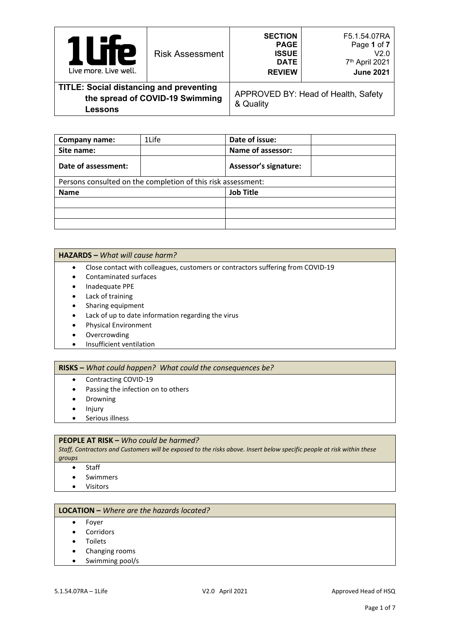| <b>12</b><br>Live more. Live well.                                                           | <b>Risk Assessment</b> | <b>SECTION</b><br><b>PAGE</b><br><b>ISSUE</b><br><b>DATE</b><br><b>REVIEW</b> | F5.1.54.07RA<br>Page 1 of 7<br>V2.0<br>7th April 2021<br><b>June 2021</b> |
|----------------------------------------------------------------------------------------------|------------------------|-------------------------------------------------------------------------------|---------------------------------------------------------------------------|
| <b>TITLE: Social distancing and preventing</b><br>the spread of COVID-19 Swimming<br>Lessons |                        | & Quality                                                                     | APPROVED BY: Head of Health, Safety                                       |

| <b>Company name:</b>                                         | 1Life | Date of issue:               |  |  |
|--------------------------------------------------------------|-------|------------------------------|--|--|
| Site name:                                                   |       | <b>Name of assessor:</b>     |  |  |
| Date of assessment:                                          |       | <b>Assessor's signature:</b> |  |  |
| Persons consulted on the completion of this risk assessment: |       |                              |  |  |
| <b>Name</b>                                                  |       | <b>Job Title</b>             |  |  |
|                                                              |       |                              |  |  |
|                                                              |       |                              |  |  |
|                                                              |       |                              |  |  |

#### **HAZARDS –** *What will cause harm?*

- Close contact with colleagues, customers or contractors suffering from COVID-19
- Contaminated surfaces
- Inadequate PPE
- Lack of training
- Sharing equipment
- Lack of up to date information regarding the virus
- Physical Environment
- Overcrowding
- Insufficient ventilation

#### **RISKS –** *What could happen? What could the consequences be?*

- Contracting COVID-19
- Passing the infection on to others
- Drowning
- Injury
- Serious illness

## **PEOPLE AT RISK –** *Who could be harmed?*

*Staff, Contractors and Customers will be exposed to the risks above. Insert below specific people at risk within these groups*

- Staff
- Swimmers
- Visitors

## **LOCATION –** *Where are the hazards located?*

- Foyer
- Corridors
- Toilets
- Changing rooms
- Swimming pool/s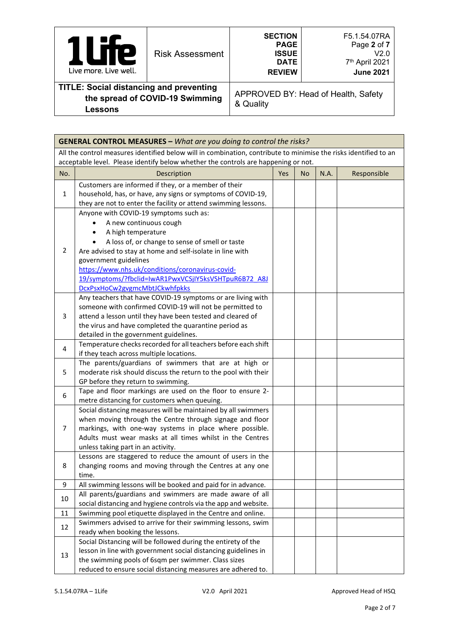| <b>Te</b><br>Live more. Live well.                                                | <b>Risk Assessment</b> | <b>SECTION</b><br><b>PAGE</b><br><b>ISSUE</b><br><b>DATE</b><br><b>REVIEW</b> | F5.1.54.07RA<br>Page 2 of 7<br>V2.0<br>7 <sup>th</sup> April 2021<br><b>June 2021</b> |
|-----------------------------------------------------------------------------------|------------------------|-------------------------------------------------------------------------------|---------------------------------------------------------------------------------------|
| <b>TITLE: Social distancing and preventing</b><br>the spread of COVID-19 Swimming |                        | $0.0$ $1:4$                                                                   | APPROVED BY: Head of Health, Safety                                                   |

| <b>GENERAL CONTROL MEASURES - What are you doing to control the risks?</b>                                       |                                                                                                   |     |           |      |             |
|------------------------------------------------------------------------------------------------------------------|---------------------------------------------------------------------------------------------------|-----|-----------|------|-------------|
| All the control measures identified below will in combination, contribute to minimise the risks identified to an |                                                                                                   |     |           |      |             |
|                                                                                                                  | acceptable level. Please identify below whether the controls are happening or not.                |     |           |      |             |
| No.                                                                                                              | Description                                                                                       | Yes | <b>No</b> | N.A. | Responsible |
|                                                                                                                  | Customers are informed if they, or a member of their                                              |     |           |      |             |
| 1                                                                                                                | household, has, or have, any signs or symptoms of COVID-19,                                       |     |           |      |             |
|                                                                                                                  | they are not to enter the facility or attend swimming lessons.                                    |     |           |      |             |
|                                                                                                                  | Anyone with COVID-19 symptoms such as:                                                            |     |           |      |             |
|                                                                                                                  | A new continuous cough                                                                            |     |           |      |             |
|                                                                                                                  | A high temperature<br>$\bullet$                                                                   |     |           |      |             |
|                                                                                                                  | A loss of, or change to sense of smell or taste<br>$\bullet$                                      |     |           |      |             |
| 2                                                                                                                | Are advised to stay at home and self-isolate in line with                                         |     |           |      |             |
|                                                                                                                  | government guidelines                                                                             |     |           |      |             |
|                                                                                                                  | https://www.nhs.uk/conditions/coronavirus-covid-                                                  |     |           |      |             |
|                                                                                                                  | 19/symptoms/?fbclid=IwAR1PwxVCSjIY5ksVSHTpuR6B72_A8J                                              |     |           |      |             |
|                                                                                                                  | DcxPsxHoCw2gvgmcMbtJCkwhfpkks                                                                     |     |           |      |             |
|                                                                                                                  | Any teachers that have COVID-19 symptoms or are living with                                       |     |           |      |             |
|                                                                                                                  | someone with confirmed COVID-19 will not be permitted to                                          |     |           |      |             |
| 3                                                                                                                | attend a lesson until they have been tested and cleared of                                        |     |           |      |             |
|                                                                                                                  | the virus and have completed the quarantine period as                                             |     |           |      |             |
|                                                                                                                  | detailed in the government guidelines.                                                            |     |           |      |             |
| 4                                                                                                                | Temperature checks recorded for all teachers before each shift                                    |     |           |      |             |
|                                                                                                                  | if they teach across multiple locations.<br>The parents/guardians of swimmers that are at high or |     |           |      |             |
| 5                                                                                                                | moderate risk should discuss the return to the pool with their                                    |     |           |      |             |
|                                                                                                                  | GP before they return to swimming.                                                                |     |           |      |             |
|                                                                                                                  | Tape and floor markings are used on the floor to ensure 2-                                        |     |           |      |             |
| 6                                                                                                                | metre distancing for customers when queuing.                                                      |     |           |      |             |
|                                                                                                                  | Social distancing measures will be maintained by all swimmers                                     |     |           |      |             |
|                                                                                                                  | when moving through the Centre through signage and floor                                          |     |           |      |             |
| $\overline{7}$                                                                                                   | markings, with one-way systems in place where possible.                                           |     |           |      |             |
|                                                                                                                  | Adults must wear masks at all times whilst in the Centres                                         |     |           |      |             |
|                                                                                                                  | unless taking part in an activity.                                                                |     |           |      |             |
|                                                                                                                  | Lessons are staggered to reduce the amount of users in the                                        |     |           |      |             |
| 8                                                                                                                | changing rooms and moving through the Centres at any one                                          |     |           |      |             |
|                                                                                                                  | time.                                                                                             |     |           |      |             |
| 9                                                                                                                | All swimming lessons will be booked and paid for in advance.                                      |     |           |      |             |
|                                                                                                                  | All parents/guardians and swimmers are made aware of all                                          |     |           |      |             |
| 10                                                                                                               | social distancing and hygiene controls via the app and website.                                   |     |           |      |             |
| 11                                                                                                               | Swimming pool etiquette displayed in the Centre and online.                                       |     |           |      |             |
| 12                                                                                                               | Swimmers advised to arrive for their swimming lessons, swim                                       |     |           |      |             |
|                                                                                                                  | ready when booking the lessons.                                                                   |     |           |      |             |
|                                                                                                                  | Social Distancing will be followed during the entirety of the                                     |     |           |      |             |
| 13                                                                                                               | lesson in line with government social distancing guidelines in                                    |     |           |      |             |
|                                                                                                                  | the swimming pools of 6sqm per swimmer. Class sizes                                               |     |           |      |             |
|                                                                                                                  | reduced to ensure social distancing measures are adhered to.                                      |     |           |      |             |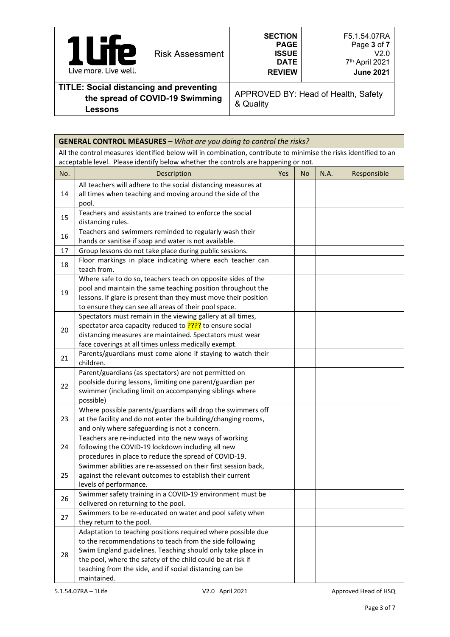| re<br>ı<br>Live more. Live well.                                                  | <b>Risk Assessment</b> | <b>SECTION</b><br><b>PAGE</b><br><b>ISSUE</b><br><b>DATE</b><br><b>REVIEW</b> | F5.1.54.07RA<br>Page 3 of 7<br>V2.0<br>7th April 2021<br><b>June 2021</b> |
|-----------------------------------------------------------------------------------|------------------------|-------------------------------------------------------------------------------|---------------------------------------------------------------------------|
| <b>TITLE: Social distancing and preventing</b><br>the spread of COVID-19 Swimming |                        | $\Omega$ . Quality                                                            | APPROVED BY: Head of Health, Safety                                       |

|  |  | & Quality |  |
|--|--|-----------|--|
|--|--|-----------|--|

|     | <b>GENERAL CONTROL MEASURES - What are you doing to control the risks?</b>                                                                                                                             |     |           |      |                      |
|-----|--------------------------------------------------------------------------------------------------------------------------------------------------------------------------------------------------------|-----|-----------|------|----------------------|
|     | All the control measures identified below will in combination, contribute to minimise the risks identified to an<br>acceptable level. Please identify below whether the controls are happening or not. |     |           |      |                      |
| No. | Description                                                                                                                                                                                            | Yes | <b>No</b> | N.A. | Responsible          |
|     |                                                                                                                                                                                                        |     |           |      |                      |
| 14  | All teachers will adhere to the social distancing measures at                                                                                                                                          |     |           |      |                      |
|     | all times when teaching and moving around the side of the<br>pool.                                                                                                                                     |     |           |      |                      |
|     | Teachers and assistants are trained to enforce the social                                                                                                                                              |     |           |      |                      |
| 15  | distancing rules.                                                                                                                                                                                      |     |           |      |                      |
| 16  | Teachers and swimmers reminded to regularly wash their                                                                                                                                                 |     |           |      |                      |
|     | hands or sanitise if soap and water is not available.                                                                                                                                                  |     |           |      |                      |
| 17  | Group lessons do not take place during public sessions.                                                                                                                                                |     |           |      |                      |
| 18  | Floor markings in place indicating where each teacher can                                                                                                                                              |     |           |      |                      |
|     | teach from.                                                                                                                                                                                            |     |           |      |                      |
|     | Where safe to do so, teachers teach on opposite sides of the                                                                                                                                           |     |           |      |                      |
| 19  | pool and maintain the same teaching position throughout the<br>lessons. If glare is present than they must move their position                                                                         |     |           |      |                      |
|     | to ensure they can see all areas of their pool space.                                                                                                                                                  |     |           |      |                      |
|     | Spectators must remain in the viewing gallery at all times,                                                                                                                                            |     |           |      |                      |
|     | spectator area capacity reduced to <b>????</b> to ensure social                                                                                                                                        |     |           |      |                      |
| 20  | distancing measures are maintained. Spectators must wear                                                                                                                                               |     |           |      |                      |
|     | face coverings at all times unless medically exempt.                                                                                                                                                   |     |           |      |                      |
| 21  | Parents/guardians must come alone if staying to watch their                                                                                                                                            |     |           |      |                      |
|     | children.                                                                                                                                                                                              |     |           |      |                      |
|     | Parent/guardians (as spectators) are not permitted on                                                                                                                                                  |     |           |      |                      |
| 22  | poolside during lessons, limiting one parent/guardian per                                                                                                                                              |     |           |      |                      |
|     | swimmer (including limit on accompanying siblings where                                                                                                                                                |     |           |      |                      |
|     | possible)<br>Where possible parents/guardians will drop the swimmers off                                                                                                                               |     |           |      |                      |
| 23  | at the facility and do not enter the building/changing rooms,                                                                                                                                          |     |           |      |                      |
|     | and only where safeguarding is not a concern.                                                                                                                                                          |     |           |      |                      |
|     | Teachers are re-inducted into the new ways of working                                                                                                                                                  |     |           |      |                      |
| 24  | following the COVID-19 lockdown including all new                                                                                                                                                      |     |           |      |                      |
|     | procedures in place to reduce the spread of COVID-19.                                                                                                                                                  |     |           |      |                      |
|     | Swimmer abilities are re-assessed on their first session back,                                                                                                                                         |     |           |      |                      |
| 25  | against the relevant outcomes to establish their current                                                                                                                                               |     |           |      |                      |
|     | levels of performance.                                                                                                                                                                                 |     |           |      |                      |
| 26  | Swimmer safety training in a COVID-19 environment must be                                                                                                                                              |     |           |      |                      |
|     | delivered on returning to the pool.<br>Swimmers to be re-educated on water and pool safety when                                                                                                        |     |           |      |                      |
| 27  | they return to the pool.                                                                                                                                                                               |     |           |      |                      |
|     | Adaptation to teaching positions required where possible due                                                                                                                                           |     |           |      |                      |
|     | to the recommendations to teach from the side following                                                                                                                                                |     |           |      |                      |
|     | Swim England guidelines. Teaching should only take place in                                                                                                                                            |     |           |      |                      |
| 28  | the pool, where the safety of the child could be at risk if                                                                                                                                            |     |           |      |                      |
|     | teaching from the side, and if social distancing can be                                                                                                                                                |     |           |      |                      |
|     | maintained.                                                                                                                                                                                            |     |           |      |                      |
|     | 5.1.54.07RA - 1Life<br>V2.0 April 2021                                                                                                                                                                 |     |           |      | Approved Head of HSQ |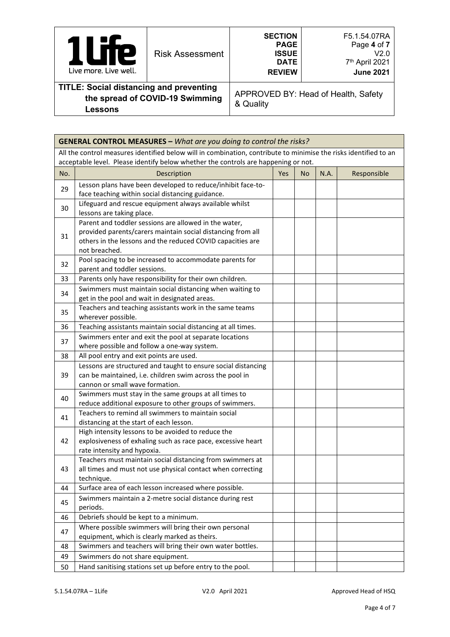| <b>TP</b><br>Live more. Live well.                                                | <b>Risk Assessment</b> | <b>SECTION</b><br><b>PAGE</b><br><b>ISSUE</b><br><b>DATE</b><br><b>REVIEW</b> | F5.1.54.07RA<br>Page 4 of 7<br>V2.0<br>7th April 2021<br><b>June 2021</b> |
|-----------------------------------------------------------------------------------|------------------------|-------------------------------------------------------------------------------|---------------------------------------------------------------------------|
| <b>TITLE: Social distancing and preventing</b><br>the spread of COVID-19 Swimming |                        | $\Omega$ Ouglity                                                              | APPROVED BY: Head of Health, Safety                                       |

& Quality

|     | <b>GENERAL CONTROL MEASURES - What are you doing to control the risks?</b>                                                                                                                             |     |     |      |             |
|-----|--------------------------------------------------------------------------------------------------------------------------------------------------------------------------------------------------------|-----|-----|------|-------------|
|     | All the control measures identified below will in combination, contribute to minimise the risks identified to an<br>acceptable level. Please identify below whether the controls are happening or not. |     |     |      |             |
| No. | Description                                                                                                                                                                                            | Yes | No. | N.A. | Responsible |
| 29  | Lesson plans have been developed to reduce/inhibit face-to-<br>face teaching within social distancing guidance.                                                                                        |     |     |      |             |
| 30  | Lifeguard and rescue equipment always available whilst<br>lessons are taking place.                                                                                                                    |     |     |      |             |
| 31  | Parent and toddler sessions are allowed in the water,<br>provided parents/carers maintain social distancing from all<br>others in the lessons and the reduced COVID capacities are<br>not breached.    |     |     |      |             |
| 32  | Pool spacing to be increased to accommodate parents for<br>parent and toddler sessions.                                                                                                                |     |     |      |             |
| 33  | Parents only have responsibility for their own children.                                                                                                                                               |     |     |      |             |
| 34  | Swimmers must maintain social distancing when waiting to<br>get in the pool and wait in designated areas.                                                                                              |     |     |      |             |
| 35  | Teachers and teaching assistants work in the same teams<br>wherever possible.                                                                                                                          |     |     |      |             |
| 36  | Teaching assistants maintain social distancing at all times.                                                                                                                                           |     |     |      |             |
| 37  | Swimmers enter and exit the pool at separate locations<br>where possible and follow a one-way system.                                                                                                  |     |     |      |             |
| 38  | All pool entry and exit points are used.                                                                                                                                                               |     |     |      |             |
| 39  | Lessons are structured and taught to ensure social distancing<br>can be maintained, i.e. children swim across the pool in<br>cannon or small wave formation.                                           |     |     |      |             |
| 40  | Swimmers must stay in the same groups at all times to<br>reduce additional exposure to other groups of swimmers.                                                                                       |     |     |      |             |
| 41  | Teachers to remind all swimmers to maintain social<br>distancing at the start of each lesson.                                                                                                          |     |     |      |             |
| 42  | High intensity lessons to be avoided to reduce the<br>explosiveness of exhaling such as race pace, excessive heart<br>rate intensity and hypoxia.                                                      |     |     |      |             |
| 43  | Teachers must maintain social distancing from swimmers at<br>all times and must not use physical contact when correcting<br>technique.                                                                 |     |     |      |             |
| 44  | Surface area of each lesson increased where possible.                                                                                                                                                  |     |     |      |             |
| 45  | Swimmers maintain a 2-metre social distance during rest<br>periods.                                                                                                                                    |     |     |      |             |
| 46  | Debriefs should be kept to a minimum.                                                                                                                                                                  |     |     |      |             |
| 47  | Where possible swimmers will bring their own personal<br>equipment, which is clearly marked as theirs.                                                                                                 |     |     |      |             |
| 48  | Swimmers and teachers will bring their own water bottles.                                                                                                                                              |     |     |      |             |
| 49  | Swimmers do not share equipment.                                                                                                                                                                       |     |     |      |             |
| 50  | Hand sanitising stations set up before entry to the pool.                                                                                                                                              |     |     |      |             |
|     |                                                                                                                                                                                                        |     |     |      |             |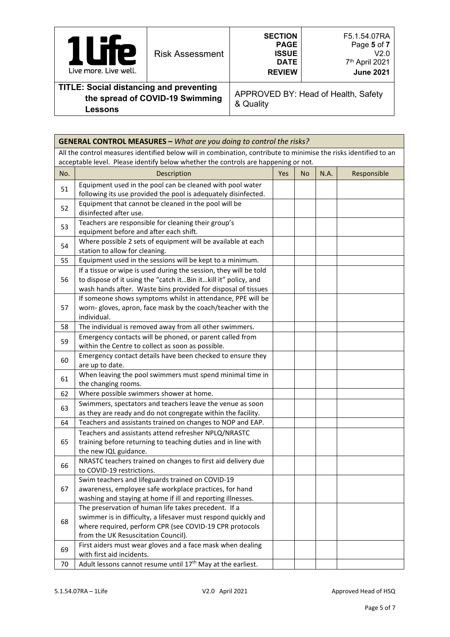| <b>P</b><br>Live more. Live well.                                                 | <b>Risk Assessment</b> | <b>SECTION</b><br><b>PAGE</b><br><b>ISSUE</b><br><b>DATE</b><br><b>REVIEW</b> | F5.1.54.07RA<br>Page 5 of 7<br>V2.0<br>7th April 2021<br><b>June 2021</b> |
|-----------------------------------------------------------------------------------|------------------------|-------------------------------------------------------------------------------|---------------------------------------------------------------------------|
| <b>TITLE: Social distancing and preventing</b><br>the spread of COVID-19 Swimming |                        | $\Omega$ . Quality                                                            | APPROVED BY: Head of Health, Safety                                       |

& Quality

|     | <b>GENERAL CONTROL MEASURES - What are you doing to control the risks?</b>                                                                                                                                               |     |           |      |             |
|-----|--------------------------------------------------------------------------------------------------------------------------------------------------------------------------------------------------------------------------|-----|-----------|------|-------------|
|     | All the control measures identified below will in combination, contribute to minimise the risks identified to an<br>acceptable level. Please identify below whether the controls are happening or not.                   |     |           |      |             |
| No. | Description                                                                                                                                                                                                              | Yes | <b>No</b> | N.A. | Responsible |
| 51  | Equipment used in the pool can be cleaned with pool water<br>following its use provided the pool is adequately disinfected.                                                                                              |     |           |      |             |
| 52  | Equipment that cannot be cleaned in the pool will be<br>disinfected after use.                                                                                                                                           |     |           |      |             |
| 53  | Teachers are responsible for cleaning their group's<br>equipment before and after each shift.                                                                                                                            |     |           |      |             |
| 54  | Where possible 2 sets of equipment will be available at each<br>station to allow for cleaning.                                                                                                                           |     |           |      |             |
| 55  | Equipment used in the sessions will be kept to a minimum.                                                                                                                                                                |     |           |      |             |
| 56  | If a tissue or wipe is used during the session, they will be told<br>to dispose of it using the "catch itBin itkill it" policy, and<br>wash hands after. Waste bins provided for disposal of tissues                     |     |           |      |             |
| 57  | If someone shows symptoms whilst in attendance, PPE will be<br>worn-gloves, apron, face mask by the coach/teacher with the<br>individual.                                                                                |     |           |      |             |
| 58  | The individual is removed away from all other swimmers.                                                                                                                                                                  |     |           |      |             |
| 59  | Emergency contacts will be phoned, or parent called from<br>within the Centre to collect as soon as possible.                                                                                                            |     |           |      |             |
| 60  | Emergency contact details have been checked to ensure they<br>are up to date.                                                                                                                                            |     |           |      |             |
| 61  | When leaving the pool swimmers must spend minimal time in<br>the changing rooms.                                                                                                                                         |     |           |      |             |
| 62  | Where possible swimmers shower at home.                                                                                                                                                                                  |     |           |      |             |
| 63  | Swimmers, spectators and teachers leave the venue as soon<br>as they are ready and do not congregate within the facility.                                                                                                |     |           |      |             |
| 64  | Teachers and assistants trained on changes to NOP and EAP.                                                                                                                                                               |     |           |      |             |
| 65  | Teachers and assistants attend refresher NPLQ/NRASTC<br>training before returning to teaching duties and in line with<br>the new IQL guidance.                                                                           |     |           |      |             |
| 66  | NRASTC teachers trained on changes to first aid delivery due<br>to COVID-19 restrictions.                                                                                                                                |     |           |      |             |
| 67  | Swim teachers and lifeguards trained on COVID-19<br>awareness, employee safe workplace practices, for hand<br>washing and staying at home if ill and reporting illnesses.                                                |     |           |      |             |
| 68  | The preservation of human life takes precedent. If a<br>swimmer is in difficulty, a lifesaver must respond quickly and<br>where required, perform CPR (see COVID-19 CPR protocols<br>from the UK Resuscitation Council). |     |           |      |             |
| 69  | First aiders must wear gloves and a face mask when dealing<br>with first aid incidents.                                                                                                                                  |     |           |      |             |
| 70  | Adult lessons cannot resume until 17 <sup>th</sup> May at the earliest.                                                                                                                                                  |     |           |      |             |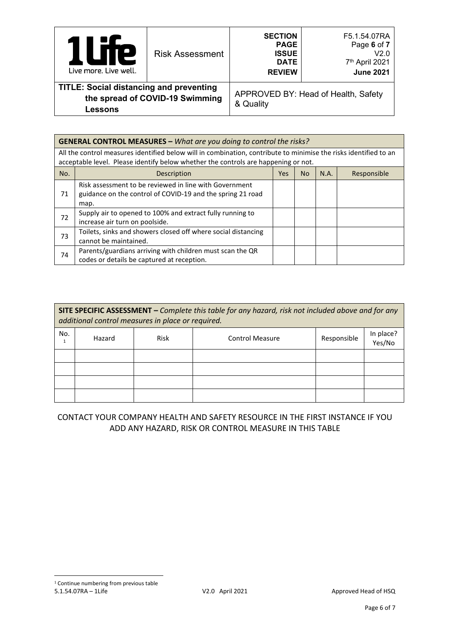| <b>Te</b><br>$\overline{\phantom{a}}$<br>Live more. Live well.   | <b>Risk Assessment</b>          | <b>SECTION</b><br><b>PAGE</b><br><b>ISSUE</b><br><b>DATE</b><br><b>REVIEW</b> | F5.1.54.07RA<br>Page 6 of 7<br>V2.0<br>7th April 2021<br><b>June 2021</b> |
|------------------------------------------------------------------|---------------------------------|-------------------------------------------------------------------------------|---------------------------------------------------------------------------|
| <b>TITLE: Social distancing and preventing</b><br><b>Lessons</b> | the spread of COVID-19 Swimming | & Quality                                                                     | APPROVED BY: Head of Health, Safety                                       |

| <b>GENERAL CONTROL MEASURES - What are you doing to control the risks?</b>                                                                                                                             |                                                                                                                              |     |     |      |             |
|--------------------------------------------------------------------------------------------------------------------------------------------------------------------------------------------------------|------------------------------------------------------------------------------------------------------------------------------|-----|-----|------|-------------|
| All the control measures identified below will in combination, contribute to minimise the risks identified to an<br>acceptable level. Please identify below whether the controls are happening or not. |                                                                                                                              |     |     |      |             |
| No.                                                                                                                                                                                                    | Description                                                                                                                  | Yes | No. | N.A. | Responsible |
| 71                                                                                                                                                                                                     | Risk assessment to be reviewed in line with Government<br>guidance on the control of COVID-19 and the spring 21 road<br>map. |     |     |      |             |
| 72                                                                                                                                                                                                     | Supply air to opened to 100% and extract fully running to<br>increase air turn on poolside.                                  |     |     |      |             |
| 73                                                                                                                                                                                                     | Toilets, sinks and showers closed off where social distancing<br>cannot be maintained.                                       |     |     |      |             |
| 74                                                                                                                                                                                                     | Parents/guardians arriving with children must scan the QR<br>codes or details be captured at reception.                      |     |     |      |             |

| SITE SPECIFIC ASSESSMENT - Complete this table for any hazard, risk not included above and for any<br>additional control measures in place or required. |        |      |                        |             |                     |  |
|---------------------------------------------------------------------------------------------------------------------------------------------------------|--------|------|------------------------|-------------|---------------------|--|
| No.                                                                                                                                                     | Hazard | Risk | <b>Control Measure</b> | Responsible | In place?<br>Yes/No |  |
|                                                                                                                                                         |        |      |                        |             |                     |  |
|                                                                                                                                                         |        |      |                        |             |                     |  |
|                                                                                                                                                         |        |      |                        |             |                     |  |
|                                                                                                                                                         |        |      |                        |             |                     |  |

# <span id="page-5-0"></span>CONTACT YOUR COMPANY HEALTH AND SAFETY RESOURCE IN THE FIRST INSTANCE IF YOU ADD ANY HAZARD, RISK OR CONTROL MEASURE IN THIS TABLE